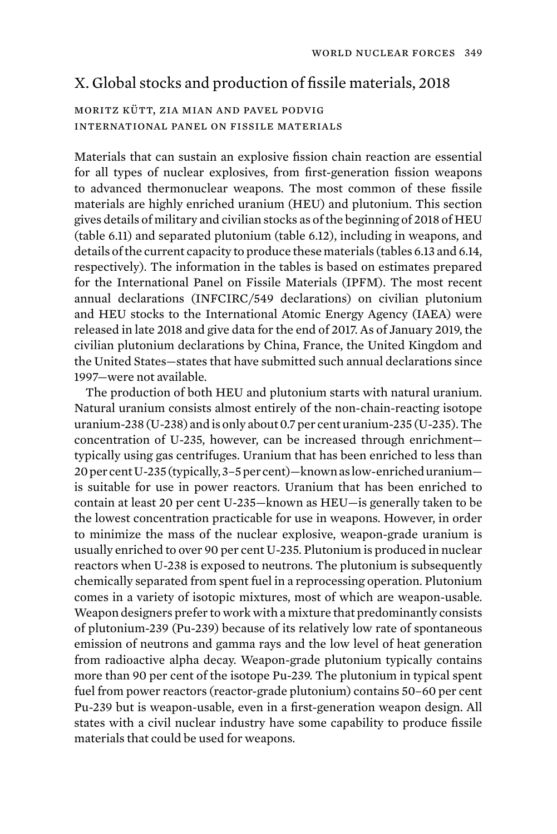## X. Global stocks and production of fissile materials, 2018

## moritz kütt, zia mian and pavel podvig international panel on fissile materials

Materials that can sustain an explosive fission chain reaction are essential for all types of nuclear explosives, from first-generation fission weapons to advanced thermonuclear weapons. The most common of these fissile materials are highly enriched uranium (HEU) and plutonium. This section gives details of military and civilian stocks as of the beginning of 2018 of HEU (table 6.11) and separated plutonium (table 6.12), including in weapons, and details of the current capacity to produce these materials (tables 6.13 and 6.14, respectively). The information in the tables is based on estimates prepared for the International Panel on Fissile Materials (IPFM). The most recent annual declarations (INFCIRC/549 declarations) on civilian plutonium and HEU stocks to the International Atomic Energy Agency (IAEA) were released in late 2018 and give data for the end of 2017. As of January 2019, the civilian plutonium declarations by China, France, the United Kingdom and the United States—states that have submitted such annual declarations since 1997—were not available.

The production of both HEU and plutonium starts with natural uranium. Natural uranium consists almost entirely of the non-chain-reacting isotope uranium-238 (U-238) and is only about 0.7 per cent uranium-235 (U-235). The concentration of U-235, however, can be increased through enrichment typically using gas centrifuges. Uranium that has been enriched to less than 20 per cent U-235 (typically, 3–5 per cent)—known as low-enriched uranium is suitable for use in power reactors. Uranium that has been enriched to contain at least 20 per cent U-235—known as HEU—is generally taken to be the lowest concentration practicable for use in weapons. However, in order to minimize the mass of the nuclear explosive, weapon-grade uranium is usually enriched to over 90 per cent U-235. Plutonium is produced in nuclear reactors when U-238 is exposed to neutrons. The plutonium is subsequently chemically separated from spent fuel in a reprocessing operation. Plutonium comes in a variety of isotopic mixtures, most of which are weapon-usable. Weapon designers prefer to work with a mixture that predominantly consists of plutonium-239 (Pu-239) because of its relatively low rate of spontaneous emission of neutrons and gamma rays and the low level of heat generation from radioactive alpha decay. Weapon-grade plutonium typically contains more than 90 per cent of the isotope Pu-239. The plutonium in typical spent fuel from power reactors (reactor-grade plutonium) contains 50–60 per cent Pu-239 but is weapon-usable, even in a first-generation weapon design. All states with a civil nuclear industry have some capability to produce fissile materials that could be used for weapons.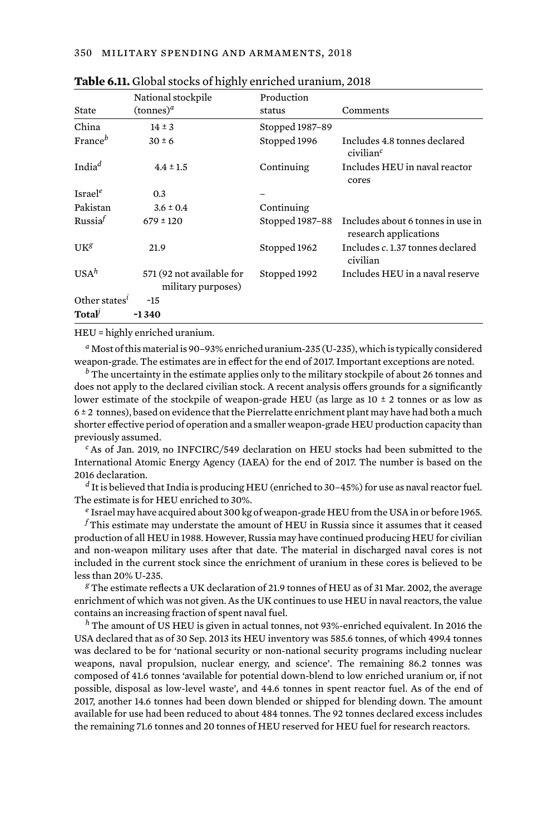|                                  | National stockpile                              | Production      |                                                            |
|----------------------------------|-------------------------------------------------|-----------------|------------------------------------------------------------|
| State                            | $(\text{tannes})^a$                             | status          | Comments                                                   |
| China                            | $14 \pm 3$                                      | Stopped 1987-89 |                                                            |
| France <sup>b</sup>              | $30 \pm 6$                                      | Stopped 1996    | Includes 4.8 tonnes declared<br>civilian <sup>c</sup>      |
| India <sup>d</sup>               | $4.4 \pm 1.5$                                   | Continuing      | Includes HEU in naval reactor<br>cores                     |
| Israel <sup>e</sup>              | 0.3                                             |                 |                                                            |
| Pakistan                         | $3.6 \pm 0.4$                                   | Continuing      |                                                            |
| R <sub>11</sub> ssi <sub>2</sub> | $679 \pm 120$                                   | Stopped 1987-88 | Includes about 6 tonnes in use in<br>research applications |
| IJK <sup>g</sup>                 | 21.9                                            | Stopped 1962    | Includes c. 1.37 tonnes declared<br>civilian               |
| $USAh$                           | 571 (92 not available for<br>military purposes) | Stopped 1992    | Includes HEU in a naval reserve                            |
| Other states <sup>i</sup>        | ~15                                             |                 |                                                            |
| Total                            | $-1340$                                         |                 |                                                            |

| Table 6.11. Global stocks of highly enriched uranium, 2018 |  |
|------------------------------------------------------------|--|
|------------------------------------------------------------|--|

HEU = highly enriched uranium.

*<sup>a</sup>* Most of this material is 90–93% enriched uranium-235 (U-235), which is typically considered weapon-grade. The estimates are in effect for the end of 2017. Important exceptions are noted.

*<sup>b</sup>* The uncertainty in the estimate applies only to the military stockpile of about 26 tonnes and does not apply to the declared civilian stock. A recent analysis offers grounds for a significantly lower estimate of the stockpile of weapon-grade HEU (as large as  $10 \pm 2$  tonnes or as low as 6 ± 2 tonnes), based on evidence that the Pierrelatte enrichment plant may have had both a much shorter effective period of operation and a smaller weapon-grade HEU production capacity than previously assumed.

*<sup>c</sup>* As of Jan. 2019, no INFCIRC/549 declaration on HEU stocks had been submitted to the International Atomic Energy Agency (IAEA) for the end of 2017. The number is based on the 2016 declaration.

*<sup>d</sup>* It is believed that India is producing HEU (enriched to 30–45%) for use as naval reactor fuel. The estimate is for HEU enriched to 30%.

*<sup>e</sup>* Israel may have acquired about 300 kg of weapon-grade HEU from the USA in or before 1965. *<sup>f</sup>* This estimate may understate the amount of HEU in Russia since it assumes that it ceased production of all HEU in 1988. However, Russia may have continued producing HEU for civilian and non-weapon military uses after that date. The material in discharged naval cores is not included in the current stock since the enrichment of uranium in these cores is believed to be less than 20% U-235.

*<sup>g</sup>* The estimate reflects a UK declaration of 21.9 tonnes of HEU as of 31 Mar. 2002, the average enrichment of which was not given. As the UK continues to use HEU in naval reactors, the value contains an increasing fraction of spent naval fuel.

*<sup>h</sup>* The amount of US HEU is given in actual tonnes, not 93%-enriched equivalent. In 2016 the USA declared that as of 30 Sep. 2013 its HEU inventory was 585.6 tonnes, of which 499.4 tonnes was declared to be for 'national security or non-national security programs including nuclear weapons, naval propulsion, nuclear energy, and science'. The remaining 86.2 tonnes was composed of 41.6 tonnes 'available for potential down-blend to low enriched uranium or, if not possible, disposal as low-level waste', and 44.6 tonnes in spent reactor fuel. As of the end of 2017, another 14.6 tonnes had been down blended or shipped for blending down. The amount available for use had been reduced to about 484 tonnes. The 92 tonnes declared excess includes the remaining 71.6 tonnes and 20 tonnes of HEU reserved for HEU fuel for research reactors.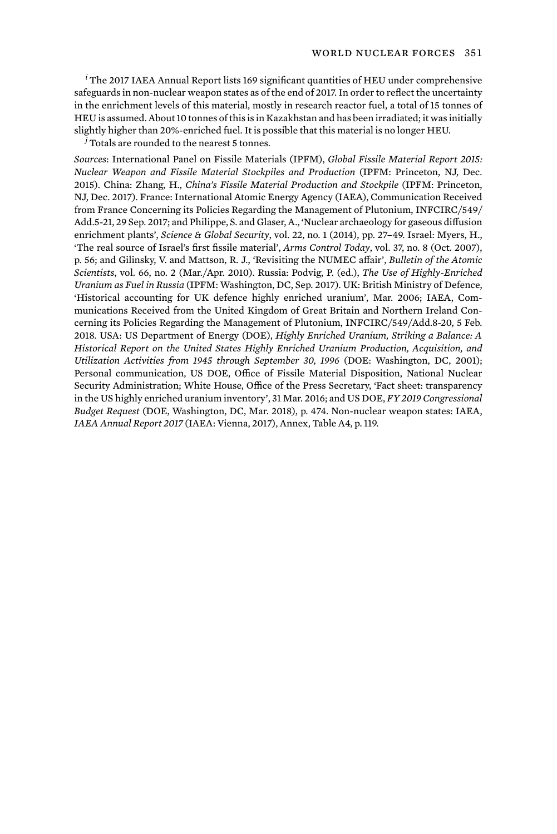*<sup>i</sup>* The 2017 IAEA Annual Report lists 169 significant quantities of HEU under comprehensive safeguards in non-nuclear weapon states as of the end of 2017. In order to reflect the uncertainty in the enrichment levels of this material, mostly in research reactor fuel, a total of 15 tonnes of HEU is assumed. About 10 tonnes of this is in Kazakhstan and has been irradiated; it was initially slightly higher than 20%-enriched fuel. It is possible that this material is no longer HEU.

*<sup>j</sup>* Totals are rounded to the nearest 5 tonnes.

*Sources*: International Panel on Fissile Materials (IPFM), *Global Fissile Material Report 2015: Nuclear Weapon and Fissile Material Stockpiles and Production* (IPFM: Princeton, NJ, Dec. 2015). China: Zhang, H., *China's Fissile Material Production and Stockpile* (IPFM: Princeton, NJ, Dec. 2017). France: International Atomic Energy Agency (IAEA), Communication Received from France Concerning its Policies Regarding the Management of Plutonium, INFCIRC/549/ Add.5-21, 29 Sep. 2017; and Philippe, S. and Glaser, A., 'Nuclear archaeology for gaseous diffusion enrichment plants', *Science & Global Security*, vol. 22, no. 1 (2014), pp. 27–49. Israel: Myers, H., 'The real source of Israel's first fissile material', *Arms Control Today*, vol. 37, no. 8 (Oct. 2007), p. 56; and Gilinsky, V. and Mattson, R. J., 'Revisiting the NUMEC affair', *Bulletin of the Atomic Scientists*, vol. 66, no. 2 (Mar./Apr. 2010). Russia: Podvig, P. (ed.), *The Use of Highly-Enriched Uranium as Fuel in Russia* (IPFM: Washington, DC, Sep. 2017). UK: British Ministry of Defence, 'Historical accounting for UK defence highly enriched uranium', Mar. 2006; IAEA, Communications Received from the United Kingdom of Great Britain and Northern Ireland Concerning its Policies Regarding the Management of Plutonium, INFCIRC/549/Add.8-20, 5 Feb. 2018. USA: US Department of Energy (DOE), *Highly Enriched Uranium, Striking a Balance: A Historical Report on the United States Highly Enriched Uranium Production, Acquisition, and Utilization Activities from 1945 through September 30, 1996* (DOE: Washington, DC, 2001); Personal communication, US DOE, Office of Fissile Material Disposition, National Nuclear Security Administration; White House, Office of the Press Secretary, 'Fact sheet: transparency in the US highly enriched uranium inventory', 31 Mar. 2016; and US DOE, *FY 2019 Congressional Budget Request* (DOE, Washington, DC, Mar. 2018), p. 474. Non-nuclear weapon states: IAEA, *IAEA Annual Report 2017* (IAEA: Vienna, 2017), Annex, Table A4, p. 119.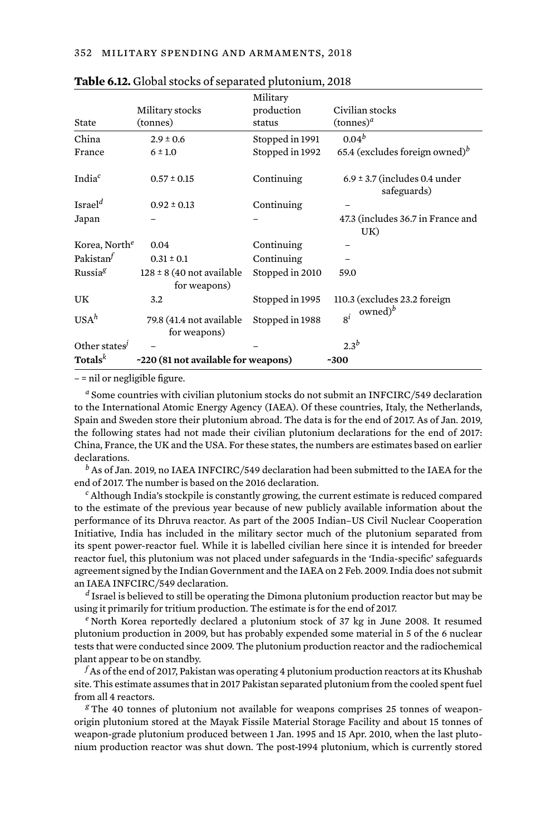|                           |                                               | Military        |                                                  |
|---------------------------|-----------------------------------------------|-----------------|--------------------------------------------------|
|                           | Military stocks                               | production      | Civilian stocks                                  |
| State                     | (tonnes)                                      | status          | $(\text{tonnes})^d$                              |
| China                     | $2.9 \pm 0.6$                                 | Stopped in 1991 | $0.04^{b}$                                       |
| France                    | $6 \pm 1.0$                                   | Stopped in 1992 | 65.4 (excludes foreign owned) <sup>b</sup>       |
| India <sup>c</sup>        | $0.57 \pm 0.15$                               | Continuing      | $6.9 \pm 3.7$ (includes 0.4 under<br>safeguards) |
| Israel <sup>d</sup>       | $0.92 \pm 0.13$                               | Continuing      |                                                  |
| Japan                     |                                               |                 | 47.3 (includes 36.7 in France and<br>UK)         |
| Korea, North <sup>e</sup> | 0.04                                          | Continuing      |                                                  |
| Pakistan $\tau$           | $0.31 \pm 0.1$                                | Continuing      |                                                  |
| Russia <sup>g</sup>       | $128 \pm 8$ (40 not available<br>for weapons) | Stopped in 2010 | 59.0                                             |
| UK                        | 3.2                                           | Stopped in 1995 | 110.3 (excludes 23.2 foreign                     |
| USA <sup>h</sup>          | 79.8 (41.4 not available<br>for weapons)      | Stopped in 1988 | owned) $\bar{b}$<br>$8^{i}$                      |
| Other states              |                                               |                 | $2.3^b$                                          |
| Totals $k$                | ~220 (81 not available for weapons)           |                 | $-300$                                           |

– = nil or negligible figure.

*<sup>a</sup>* Some countries with civilian plutonium stocks do not submit an INFCIRC/549 declaration to the International Atomic Energy Agency (IAEA). Of these countries, Italy, the Netherlands, Spain and Sweden store their plutonium abroad. The data is for the end of 2017. As of Jan. 2019, the following states had not made their civilian plutonium declarations for the end of 2017: China, France, the UK and the USA. For these states, the numbers are estimates based on earlier declarations.

*<sup>b</sup>* As of Jan. 2019, no IAEA INFCIRC/549 declaration had been submitted to the IAEA for the end of 2017. The number is based on the 2016 declaration.

*<sup>c</sup>* Although India's stockpile is constantly growing, the current estimate is reduced compared to the estimate of the previous year because of new publicly available information about the performance of its Dhruva reactor. As part of the 2005 Indian–US Civil Nuclear Cooperation Initiative, India has included in the military sector much of the plutonium separated from its spent power-reactor fuel. While it is labelled civilian here since it is intended for breeder reactor fuel, this plutonium was not placed under safeguards in the 'India-specific' safeguards agreement signed by the Indian Government and the IAEA on 2 Feb. 2009. India does not submit an IAEA INFCIRC/549 declaration.

*<sup>d</sup>* Israel is believed to still be operating the Dimona plutonium production reactor but may be using it primarily for tritium production. The estimate is for the end of 2017.

*<sup>e</sup>* North Korea reportedly declared a plutonium stock of 37 kg in June 2008. It resumed plutonium production in 2009, but has probably expended some material in 5 of the 6 nuclear tests that were conducted since 2009. The plutonium production reactor and the radiochemical plant appear to be on standby.

*<sup>f</sup>* As of the end of 2017, Pakistan was operating 4 plutonium production reactors at its Khushab site. This estimate assumes that in 2017 Pakistan separated plutonium from the cooled spent fuel from all 4 reactors.

<sup>g</sup> The 40 tonnes of plutonium not available for weapons comprises 25 tonnes of weaponorigin plutonium stored at the Mayak Fissile Material Storage Facility and about 15 tonnes of weapon-grade plutonium produced between 1 Jan. 1995 and 15 Apr. 2010, when the last plutonium production reactor was shut down. The post-1994 plutonium, which is currently stored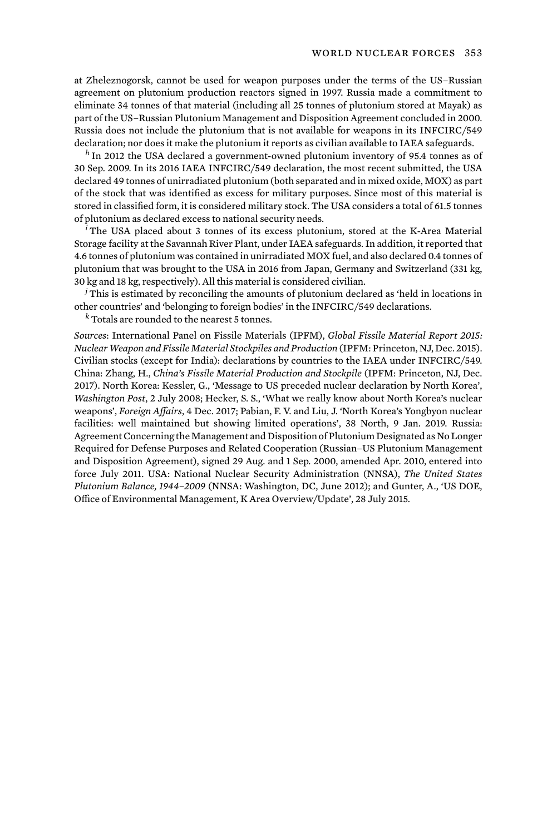at Zheleznogorsk, cannot be used for weapon purposes under the terms of the US–Russian agreement on plutonium production reactors signed in 1997. Russia made a commitment to eliminate 34 tonnes of that material (including all 25 tonnes of plutonium stored at Mayak) as part of the US–Russian Plutonium Management and Disposition Agreement concluded in 2000. Russia does not include the plutonium that is not available for weapons in its INFCIRC/549 declaration; nor does it make the plutonium it reports as civilian available to IAEA safeguards.

*<sup>h</sup>* In 2012 the USA declared a government-owned plutonium inventory of 95.4 tonnes as of 30 Sep. 2009. In its 2016 IAEA INFCIRC/549 declaration, the most recent submitted, the USA declared 49 tonnes of unirradiated plutonium (both separated and in mixed oxide, MOX) as part of the stock that was identified as excess for military purposes. Since most of this material is stored in classified form, it is considered military stock. The USA considers a total of 61.5 tonnes of plutonium as declared excess to national security needs.

*<sup>i</sup>* The USA placed about 3 tonnes of its excess plutonium, stored at the K-Area Material Storage facility at the Savannah River Plant, under IAEA safeguards. In addition, it reported that 4.6 tonnes of plutonium was contained in unirradiated MOX fuel, and also declared 0.4 tonnes of plutonium that was brought to the USA in 2016 from Japan, Germany and Switzerland (331 kg, 30 kg and 18 kg, respectively). All this material is considered civilian.

*<sup>j</sup>* This is estimated by reconciling the amounts of plutonium declared as 'held in locations in other countries' and 'belonging to foreign bodies' in the INFCIRC/549 declarations.

*<sup>k</sup>* Totals are rounded to the nearest 5 tonnes.

*Sources*: International Panel on Fissile Materials (IPFM), *Global Fissile Material Report 2015: Nuclear Weapon and Fissile Material Stockpiles and Production* (IPFM: Princeton, NJ, Dec. 2015). Civilian stocks (except for India): declarations by countries to the IAEA under INFCIRC/549. China: Zhang, H., *China's Fissile Material Production and Stockpile* (IPFM: Princeton, NJ, Dec. 2017). North Korea: Kessler, G., 'Message to US preceded nuclear declaration by North Korea', *Washington Post*, 2 July 2008; Hecker, S. S., 'What we really know about North Korea's nuclear weapons', *Foreign Affairs*, 4 Dec. 2017; Pabian, F. V. and Liu, J. 'North Korea's Yongbyon nuclear facilities: well maintained but showing limited operations', 38 North, 9 Jan. 2019. Russia: Agreement Concerning the Management and Disposition of Plutonium Designated as No Longer Required for Defense Purposes and Related Cooperation (Russian–US Plutonium Management and Disposition Agreement), signed 29 Aug. and 1 Sep. 2000, amended Apr. 2010, entered into force July 2011. USA: National Nuclear Security Administration (NNSA), *The United States Plutonium Balance, 1944–2009* (NNSA: Washington, DC, June 2012); and Gunter, A., 'US DOE, Office of Environmental Management, K Area Overview/Update', 28 July 2015.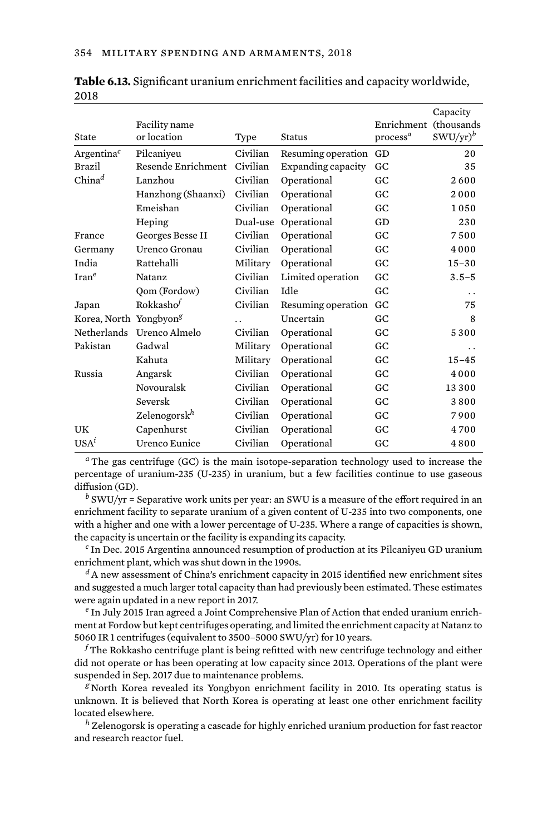| State                              | Facility name<br>or location | Type                 | <b>Status</b>      | Enrichment<br>process <sup>a</sup> | Capacity<br>(thousands<br>$SWU/yr)^b$ |
|------------------------------------|------------------------------|----------------------|--------------------|------------------------------------|---------------------------------------|
| Argentina <sup>c</sup>             | Pilcaniveu                   | Civilian             | Resuming operation | GD                                 | 20                                    |
| <b>Brazil</b>                      | Resende Enrichment           | Civilian             | Expanding capacity | GC                                 | 35                                    |
| $China^d$                          | Lanzhou                      | Civilian             | Operational        | GC.                                | 2600                                  |
|                                    | Hanzhong (Shaanxi)           | Civilian             | Operational        | GC.                                | 2000                                  |
|                                    | Emeishan                     | Civilian             | Operational        | GC                                 | 1050                                  |
|                                    | Heping                       | Dual-use             | Operational        | GD                                 | 230                                   |
| France                             | Georges Besse II             | Civilian             | Operational        | GC                                 | 7500                                  |
| Germany                            | Urenco Gronau                | Civilian             | Operational        | GC                                 | 4000                                  |
| India                              | Rattehalli                   | Military             | Operational        | GC                                 | $15 - 30$                             |
| $\text{Iran}^e$                    | <b>Natanz</b>                | Civilian             | Limited operation  | GC                                 | $3.5 - 5$                             |
|                                    | Qom (Fordow)                 | Civilian             | Idle               | GC                                 | $\ddot{\phantom{0}}$                  |
| Japan                              | $R$ okkasho $^f$             | Civilian             | Resuming operation | GC                                 | 75                                    |
| Korea, North Yongbyon <sup>g</sup> |                              | $\ddot{\phantom{a}}$ | Uncertain          | GC.                                | 8                                     |
|                                    | Netherlands Urenco Almelo    | Civilian             | Operational        | GC                                 | 5300                                  |
| Pakistan                           | Gadwal                       | Military             | Operational        | GC                                 | . .                                   |
|                                    | Kahuta                       | Military             | Operational        | GC                                 | $15 - 45$                             |
| Russia                             | Angarsk                      | Civilian             | Operational        | GC                                 | 4000                                  |
|                                    | Novouralsk                   | Civilian             | Operational        | GC                                 | 13300                                 |
|                                    | Seversk                      | Civilian             | Operational        | GC                                 | 3800                                  |
|                                    | Zelenogorsk <sup>h</sup>     | Civilian             | Operational        | GC                                 | 7900                                  |
| UK                                 | Capenhurst                   | Civilian             | Operational        | GC                                 | 4700                                  |
| $i$                                | <b>Urenco Eunice</b>         | Civilian             | Operational        | GC                                 | 4800                                  |

**Table 6.13.** Significant uranium enrichment facilities and capacity worldwide, 2018

*<sup>a</sup>* The gas centrifuge (GC) is the main isotope-separation technology used to increase the percentage of uranium-235 (U-235) in uranium, but a few facilities continue to use gaseous diffusion (GD).

*<sup>b</sup>* SWU/yr = Separative work units per year: an SWU is a measure of the effort required in an enrichment facility to separate uranium of a given content of U-235 into two components, one with a higher and one with a lower percentage of U-235. Where a range of capacities is shown, the capacity is uncertain or the facility is expanding its capacity.

*<sup>c</sup>* In Dec. 2015 Argentina announced resumption of production at its Pilcaniyeu GD uranium enrichment plant, which was shut down in the 1990s.

*<sup>d</sup>* A new assessment of China's enrichment capacity in 2015 identified new enrichment sites and suggested a much larger total capacity than had previously been estimated. These estimates were again updated in a new report in 2017.

*<sup>e</sup>* In July 2015 Iran agreed a Joint Comprehensive Plan of Action that ended uranium enrichment at Fordow but kept centrifuges operating, and limited the enrichment capacity at Natanz to 5060 IR 1 centrifuges (equivalent to 3500–5000 SWU/yr) for 10 years.

*<sup>f</sup>* The Rokkasho centrifuge plant is being refitted with new centrifuge technology and either did not operate or has been operating at low capacity since 2013. Operations of the plant were suspended in Sep. 2017 due to maintenance problems.

*<sup>g</sup>* North Korea revealed its Yongbyon enrichment facility in 2010. Its operating status is unknown. It is believed that North Korea is operating at least one other enrichment facility located elsewhere.

*<sup>h</sup>* Zelenogorsk is operating a cascade for highly enriched uranium production for fast reactor and research reactor fuel.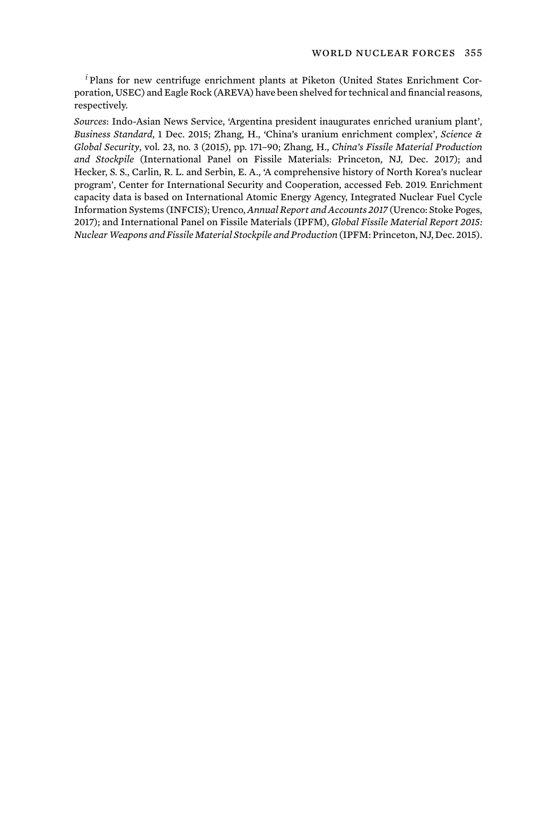*<sup>i</sup>* Plans for new centrifuge enrichment plants at Piketon (United States Enrichment Corporation, USEC) and Eagle Rock (AREVA) have been shelved for technical and financial reasons, respectively.

*Sources*: Indo-Asian News Service, 'Argentina president inaugurates enriched uranium plant', *Business Standard*, 1 Dec. 2015; Zhang, H., 'China's uranium enrichment complex', *Science & Global Security*, vol. 23, no. 3 (2015), pp. 171–90; Zhang, H., *China's Fissile Material Production and Stockpile* (International Panel on Fissile Materials: Princeton, NJ, Dec. 2017); and Hecker, S. S., Carlin, R. L. and Serbin, E. A., 'A comprehensive history of North Korea's nuclear program', Center for International Security and Cooperation, accessed Feb. 2019. Enrichment capacity data is based on International Atomic Energy Agency, Integrated Nuclear Fuel Cycle Information Systems (INFCIS); Urenco, *Annual Report and Accounts 2017* (Urenco: Stoke Poges, 2017); and International Panel on Fissile Materials (IPFM), *Global Fissile Material Report 2015: Nuclear Weapons and Fissile Material Stockpile and Production* (IPFM: Princeton, NJ, Dec. 2015).